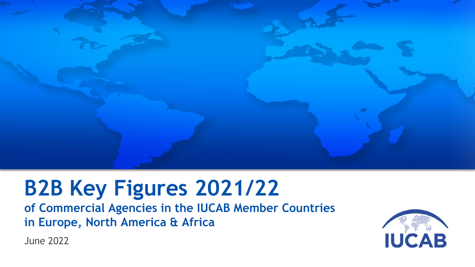

# **B2B Key Figures 2021/22**

**of Commercial Agencies in the IUCAB Member Countries in Europe, North America & Africa**

**IUCAB** 

June 2022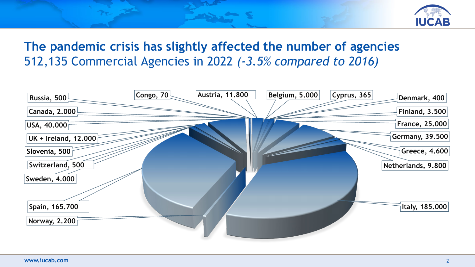

### **The pandemic crisis has slightly affected the number of agencies** 512,135 Commercial Agencies in 2022 *(-3.5% compared to 2016)*

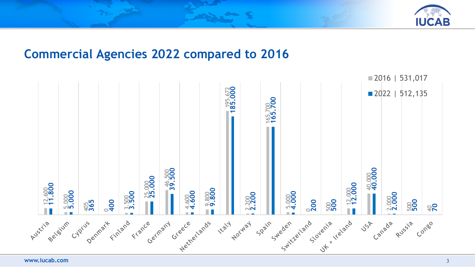

#### **Commercial Agencies 2022 compared to 2016**

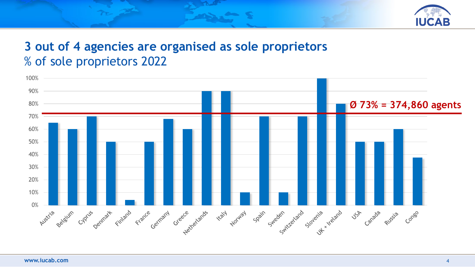

## **3 out of 4 agencies are organised as sole proprietors** % of sole proprietors 2022

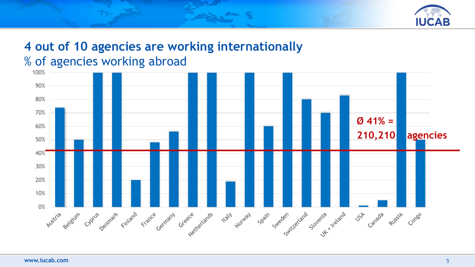

### **4 out of 10 agencies are working internationally** % of agencies working abroad

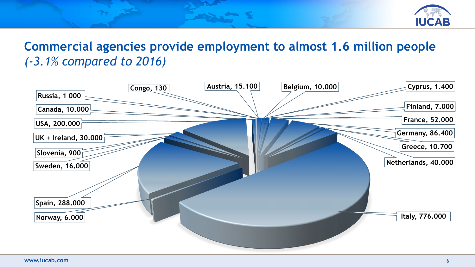

### **Commercial agencies provide employment to almost 1.6 million people** *(-3.1% compared to 2016)*

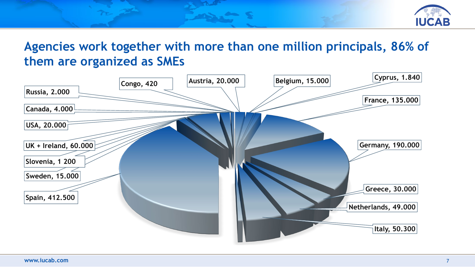

**Agencies work together with more than one million principals, 86% of them are organized as SMEs**

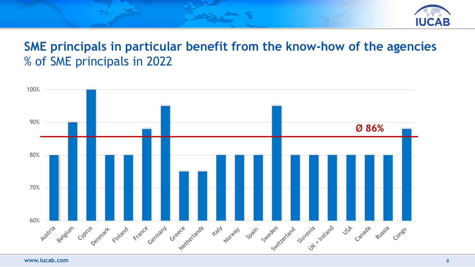

#### **SME principals in particular benefit from the know-how of the agencies** % of SME principals in 2022

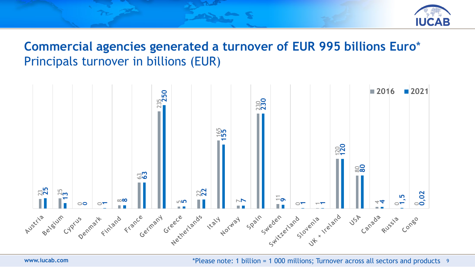

#### **Commercial agencies generated a turnover of EUR 995 billions Euro**\* Principals turnover in billions (EUR)



**www.iucab.com** 9 \*Please note: 1 billion = 1 000 millions; Turnover across all sectors and products